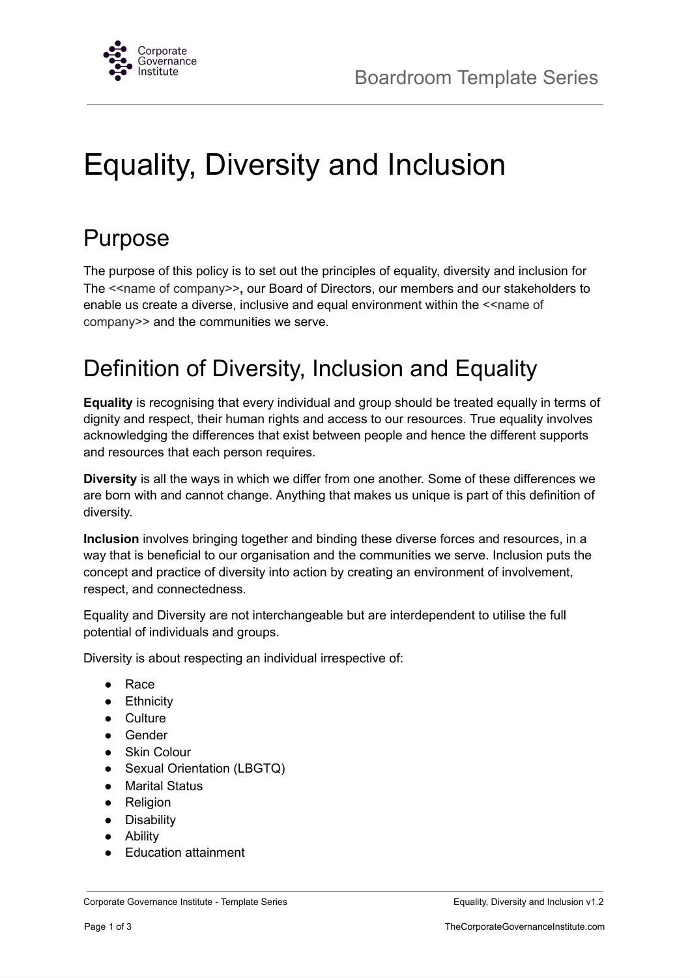

# Equality, Diversity and Inclusion

# Purpose

The purpose of this policy is to set out the principles of equality, diversity and inclusion for The <<name of company>>, our Board of Directors, our members and our stakeholders to enable us create a diverse, inclusive and equal environment within the <<name of company>> and the communities we serve.

### Definition of Diversity, Inclusion and Equality

**Equality** is recognising that every individual and group should be treated equally in terms of dignity and respect, their human rights and access to our resources. True equality involves acknowledging the differences that exist between people and hence the different supports and resources that each person requires.

**Diversity** is all the ways in which we differ from one another. Some of these differences we are born with and cannot change. Anything that makes us unique is part of this definition of diversity.

**Inclusion** involves bringing together and binding these diverse forces and resources, in a way that is beneficial to our organisation and the communities we serve. Inclusion puts the concept and practice of diversity into action by creating an environment of involvement, respect, and connectedness.

Equality and Diversity are not interchangeable but are interdependent to utilise the full potential of individuals and groups.

Diversity is about respecting an individual irrespective of:

- Race
- **•** Ethnicity
- Culture
- Gender
- Skin Colour
- Sexual Orientation (LBGTQ)
- Marital Status
- Religion
- Disability
- Ability
- Education attainment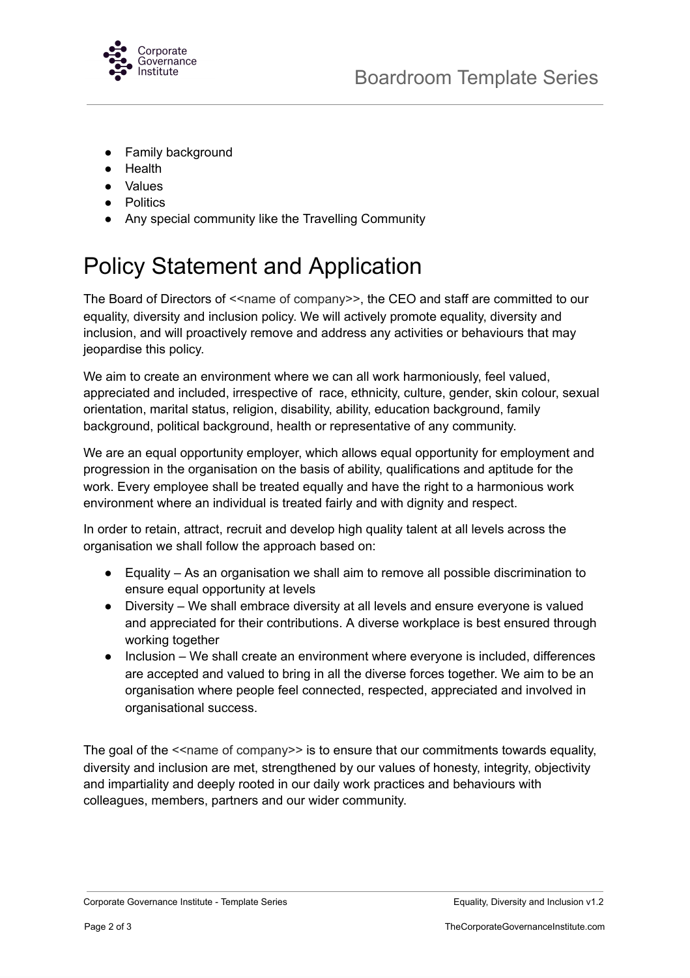

- Family background
- Health
- Values
- Politics
- Any special community like the Travelling Community

# Policy Statement and Application

The Board of Directors of  $\leq$ name of company>>, the CEO and staff are committed to our equality, diversity and inclusion policy. We will actively promote equality, diversity and inclusion, and will proactively remove and address any activities or behaviours that may jeopardise this policy.

We aim to create an environment where we can all work harmoniously, feel valued, appreciated and included, irrespective of race, ethnicity, culture, gender, skin colour, sexual orientation, marital status, religion, disability, ability, education background, family background, political background, health or representative of any community.

We are an equal opportunity employer, which allows equal opportunity for employment and progression in the organisation on the basis of ability, qualifications and aptitude for the work. Every employee shall be treated equally and have the right to a harmonious work environment where an individual is treated fairly and with dignity and respect.

In order to retain, attract, recruit and develop high quality talent at all levels across the organisation we shall follow the approach based on:

- Equality As an organisation we shall aim to remove all possible discrimination to ensure equal opportunity at levels
- Diversity We shall embrace diversity at all levels and ensure everyone is valued and appreciated for their contributions. A diverse workplace is best ensured through working together
- Inclusion We shall create an environment where everyone is included, differences are accepted and valued to bring in all the diverse forces together. We aim to be an organisation where people feel connected, respected, appreciated and involved in organisational success.

The goal of the  $\le$  name of company>> is to ensure that our commitments towards equality, diversity and inclusion are met, strengthened by our values of honesty, integrity, objectivity and impartiality and deeply rooted in our daily work practices and behaviours with colleagues, members, partners and our wider community.